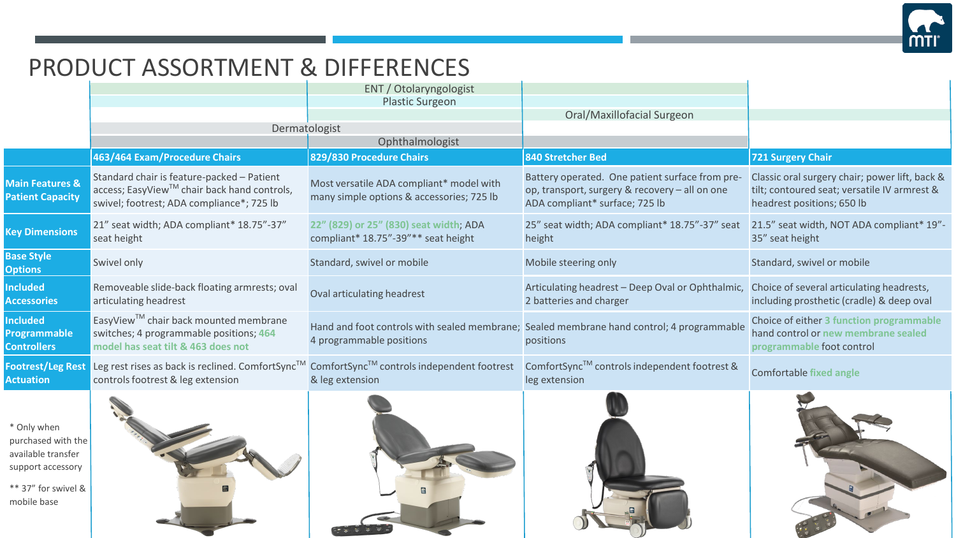

## PRODUCT ASSORTMENT & DIFFERENCES

|                                                              |                                                                                                                                        | ENT / Otolaryngologist                                                                |                                                                                                                                     |                                                                                                                              |
|--------------------------------------------------------------|----------------------------------------------------------------------------------------------------------------------------------------|---------------------------------------------------------------------------------------|-------------------------------------------------------------------------------------------------------------------------------------|------------------------------------------------------------------------------------------------------------------------------|
|                                                              |                                                                                                                                        | <b>Plastic Surgeon</b>                                                                |                                                                                                                                     |                                                                                                                              |
|                                                              |                                                                                                                                        |                                                                                       | Oral/Maxillofacial Surgeon                                                                                                          |                                                                                                                              |
|                                                              | Dermatologist                                                                                                                          |                                                                                       |                                                                                                                                     |                                                                                                                              |
|                                                              |                                                                                                                                        | Ophthalmologist                                                                       |                                                                                                                                     |                                                                                                                              |
|                                                              | 463/464 Exam/Procedure Chairs                                                                                                          | 829/830 Procedure Chairs                                                              | 840 Stretcher Bed                                                                                                                   | <b>721 Surgery Chair</b>                                                                                                     |
| <b>Main Features &amp;</b><br><b>Patient Capacity</b>        | Standard chair is feature-packed - Patient<br>access; EasyView™ chair back hand controls,<br>swivel; footrest; ADA compliance*; 725 lb | Most versatile ADA compliant* model with<br>many simple options & accessories; 725 lb | Battery operated. One patient surface from pre-<br>op, transport, surgery & recovery - all on one<br>ADA compliant* surface; 725 lb | Classic oral surgery chair; power lift, back &<br>tilt; contoured seat; versatile IV armrest &<br>headrest positions; 650 lb |
| <b>Key Dimensions</b>                                        | 21" seat width; ADA compliant* 18.75"-37"<br>seat height                                                                               | 22" (829) or 25" (830) seat width; ADA<br>compliant* 18.75"-39"** seat height         | 25" seat width; ADA compliant* 18.75"-37" seat<br>height                                                                            | 21.5" seat width, NOT ADA compliant* 19"-<br>35" seat height                                                                 |
| <b>Base Style</b><br><b>Options</b>                          | Swivel only                                                                                                                            | Standard, swivel or mobile                                                            | Mobile steering only                                                                                                                | Standard, swivel or mobile                                                                                                   |
| <b>Included</b><br><b>Accessories</b>                        | Removeable slide-back floating armrests; oval<br>articulating headrest                                                                 | Oval articulating headrest                                                            | Articulating headrest - Deep Oval or Ophthalmic,<br>2 batteries and charger                                                         | Choice of several articulating headrests,<br>including prosthetic (cradle) & deep oval                                       |
| <b>Included</b><br><b>Programmable</b><br><b>Controllers</b> | EasyView™ chair back mounted membrane<br>switches; 4 programmable positions; 464<br>model has seat tilt & 463 does not                 | 4 programmable positions                                                              | Hand and foot controls with sealed membrane; Sealed membrane hand control; 4 programmable<br>positions                              | Choice of either 3 function programmable<br>hand control or new membrane sealed<br>programmable foot control                 |
| <b>Footrest/Leg Rest</b><br><b>Actuation</b>                 | Leg rest rises as back is reclined. ComfortSync™ ComfortSync™ controls independent footrest<br>controls footrest & leg extension       | & leg extension                                                                       | ComfortSync™ controls independent footrest &<br>leg extension                                                                       | <b>Comfortable fixed angle</b>                                                                                               |
| * Only when                                                  |                                                                                                                                        |                                                                                       |                                                                                                                                     |                                                                                                                              |

purchased with the available transfer support accessory

\*\* 37" for swivel & mobile base